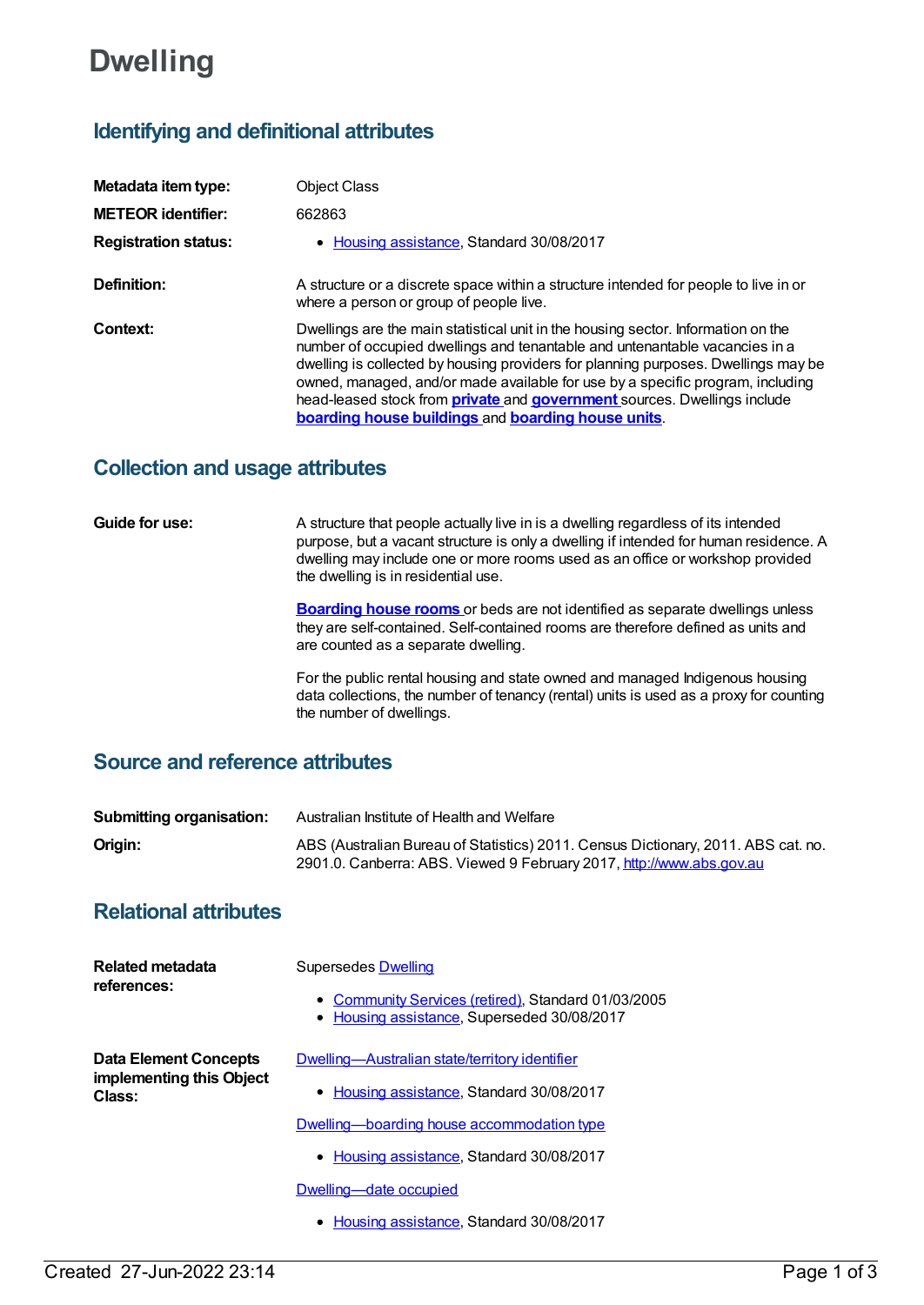# **Dwelling**

## **Identifying and definitional attributes**

| Metadata item type:         | <b>Object Class</b>                                                                                                                                                                                                                                                                                                                                                                                                                                                                      |
|-----------------------------|------------------------------------------------------------------------------------------------------------------------------------------------------------------------------------------------------------------------------------------------------------------------------------------------------------------------------------------------------------------------------------------------------------------------------------------------------------------------------------------|
| <b>METEOR identifier:</b>   | 662863                                                                                                                                                                                                                                                                                                                                                                                                                                                                                   |
| <b>Registration status:</b> | • Housing assistance, Standard 30/08/2017                                                                                                                                                                                                                                                                                                                                                                                                                                                |
| Definition:                 | A structure or a discrete space within a structure intended for people to live in or<br>where a person or group of people live.                                                                                                                                                                                                                                                                                                                                                          |
| Context:                    | Dwellings are the main statistical unit in the housing sector. Information on the<br>number of occupied dwellings and tenantable and untenantable vacancies in a<br>dwelling is collected by housing providers for planning purposes. Dwellings may be<br>owned, managed, and/or made available for use by a specific program, including<br>head-leased stock from <b>private</b> and <b>government</b> sources. Dwellings include<br>boarding house buildings and boarding house units. |

### **Collection and usage attributes**

**Guide for use:** A structure that people actually live in is a dwelling regardless of its intended purpose, but a vacant structure is only a dwelling if intended for human residence. A dwelling may include one or more rooms used as an office or workshop provided the dwelling is in residential use.

> **[Boarding](https://meteor.aihw.gov.au/content/327410) house rooms** or beds are not identified as separate dwellings unless they are self-contained. Self-contained rooms are therefore defined as units and are counted as a separate dwelling.

For the public rental housing and state owned and managed Indigenous housing data collections, the number of tenancy (rental) units is used as a proxy for counting the number of dwellings.

### **Source and reference attributes**

| <b>Submitting organisation:</b> | Australian Institute of Health and Welfare                                                                                                                |
|---------------------------------|-----------------------------------------------------------------------------------------------------------------------------------------------------------|
| Origin:                         | ABS (Australian Bureau of Statistics) 2011. Census Dictionary, 2011. ABS cat. no.<br>2901.0. Canberra: ABS. Viewed 9 February 2017, http://www.abs.gov.au |

### **Relational attributes**

| <b>Related metadata</b><br>references:                             | Supersedes Dwelling<br>• Community Services (retired), Standard 01/03/2005<br>Housing assistance, Superseded 30/08/2017 |
|--------------------------------------------------------------------|-------------------------------------------------------------------------------------------------------------------------|
| <b>Data Element Concepts</b><br>implementing this Object<br>Class: | Dwelling-Australian state/territory identifier<br>• Housing assistance, Standard 30/08/2017                             |
|                                                                    | Dwelling—boarding house accommodation type                                                                              |
|                                                                    | • Housing assistance, Standard 30/08/2017                                                                               |
|                                                                    | Dwelling-date occupied                                                                                                  |
|                                                                    | Housing assistance, Standard 30/08/2017<br>$\bullet$                                                                    |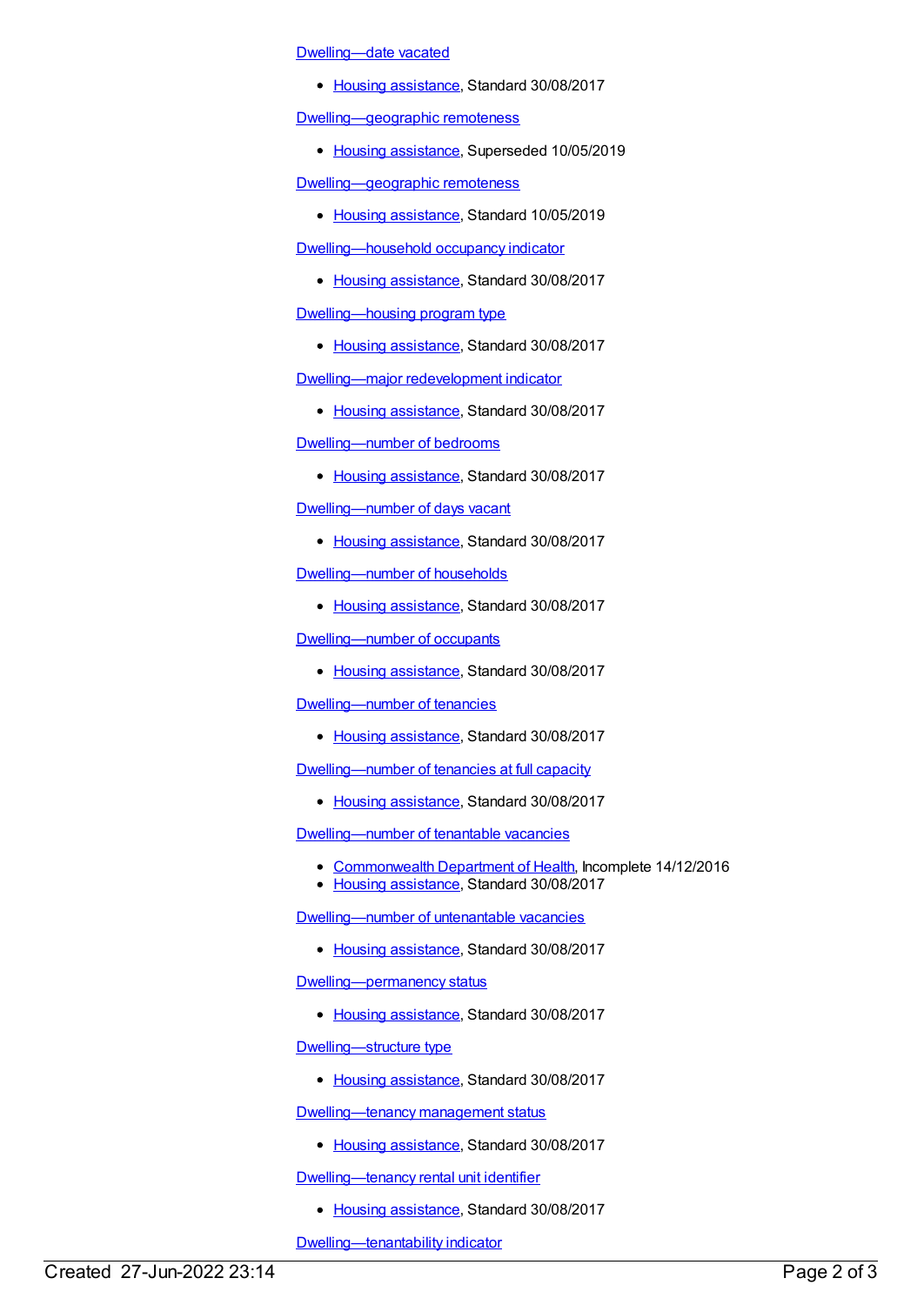### [Dwelling—date](https://meteor.aihw.gov.au/content/608009) vacated

• Housing [assistance](https://meteor.aihw.gov.au/RegistrationAuthority/11), Standard 30/08/2017

[Dwelling—geographic](https://meteor.aihw.gov.au/content/662963) remoteness

• Housing [assistance](https://meteor.aihw.gov.au/RegistrationAuthority/11), Superseded 10/05/2019

[Dwelling—geographic](https://meteor.aihw.gov.au/content/711254) remoteness

• Housing [assistance](https://meteor.aihw.gov.au/RegistrationAuthority/11), Standard 10/05/2019

[Dwelling—household](https://meteor.aihw.gov.au/content/608114) occupancy indicator

• Housing [assistance](https://meteor.aihw.gov.au/RegistrationAuthority/11), Standard 30/08/2017

[Dwelling—housing](https://meteor.aihw.gov.au/content/662975) program type

• Housing [assistance](https://meteor.aihw.gov.au/RegistrationAuthority/11), Standard 30/08/2017

[Dwelling—major](https://meteor.aihw.gov.au/content/662990) redevelopment indicator

• Housing [assistance](https://meteor.aihw.gov.au/RegistrationAuthority/11), Standard 30/08/2017

[Dwelling—number](https://meteor.aihw.gov.au/content/663010) of bedrooms

• Housing [assistance](https://meteor.aihw.gov.au/RegistrationAuthority/11), Standard 30/08/2017

[Dwelling—number](https://meteor.aihw.gov.au/content/663027) of days vacant

• Housing [assistance](https://meteor.aihw.gov.au/RegistrationAuthority/11), Standard 30/08/2017

[Dwelling—number](https://meteor.aihw.gov.au/content/663040) of households

• Housing [assistance](https://meteor.aihw.gov.au/RegistrationAuthority/11), Standard 30/08/2017

[Dwelling—number](https://meteor.aihw.gov.au/content/663050) of occupants

• Housing [assistance](https://meteor.aihw.gov.au/RegistrationAuthority/11), Standard 30/08/2017

[Dwelling—number](https://meteor.aihw.gov.au/content/663059) of tenancies

• Housing [assistance](https://meteor.aihw.gov.au/RegistrationAuthority/11), Standard 30/08/2017

[Dwelling—number](https://meteor.aihw.gov.au/content/663065) of tenancies at full capacity

• Housing [assistance](https://meteor.aihw.gov.au/RegistrationAuthority/11), Standard 30/08/2017

[Dwelling—number](https://meteor.aihw.gov.au/content/662911) of tenantable vacancies

- [Commonwealth](https://meteor.aihw.gov.au/RegistrationAuthority/10) Department of Health, Incomplete 14/12/2016
- Housing [assistance](https://meteor.aihw.gov.au/RegistrationAuthority/11), Standard 30/08/2017

[Dwelling—number](https://meteor.aihw.gov.au/content/662941) of untenantable vacancies

• Housing [assistance](https://meteor.aihw.gov.au/RegistrationAuthority/11), Standard 30/08/2017

[Dwelling—permanency](https://meteor.aihw.gov.au/content/662973) status

• Housing [assistance](https://meteor.aihw.gov.au/RegistrationAuthority/11), Standard 30/08/2017

[Dwelling—structure](https://meteor.aihw.gov.au/content/663003) type

• Housing [assistance](https://meteor.aihw.gov.au/RegistrationAuthority/11), Standard 30/08/2017

[Dwelling—tenancy](https://meteor.aihw.gov.au/content/663019) management status

• Housing [assistance](https://meteor.aihw.gov.au/RegistrationAuthority/11), Standard 30/08/2017

[Dwelling—tenancy](https://meteor.aihw.gov.au/content/663106) rental unit identifier

• Housing [assistance](https://meteor.aihw.gov.au/RegistrationAuthority/11), Standard 30/08/2017

[Dwelling—tenantability](https://meteor.aihw.gov.au/content/663112) indicator